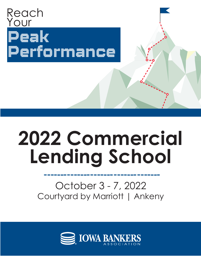

# **2022 Commercial Lending School**

## October 3 - 7, 2022 Courtyard by Marriott | Ankeny

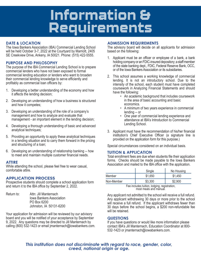# Information & Requirements

#### **DATE & LOCATION**

The Iowa Bankers Association (IBA) Commercial Lending School will be held October 3-7, 2022 at the Courtyard by Marriott, 2405 SE Creekview Drive, Ankeny, IA 50021. Phone: (515) 422-5555.

#### **PURPOSE AND PHILOSOPHY**

The purpose of the IBA Commercial Lending School is to prepare commercial lenders who have not been exposed to formal commercial lending education or lenders who want to broaden their commercial lending knowledge to serve efficiently and profitably as commercial loan officers by:

- 1. Developing a better understanding of the economy and how it affects the lending decision;
- 2. Developing an understanding of how a business is structured and how it competes;
- 3. Developing an understanding of the role of a company's management and how to analyze and evaluate that management - an important element in the lending decision;
- 4. Developing a thorough understanding of basic and advanced analytical techniques;
- 5. Providing an opportunity to apply these analytical techniques in a lending situation and to carry them forward in the pricing and structuring of a loan;
- 6. Developing an understanding of relationship banking -- how to meet and maintain multiple customer financial needs.

#### **ATTIRE**

While attending the school, please feel free to wear casual, comfortable attire.

#### **APPLICATION PROCESS**

Prospective students should complete a school application form and return it to the IBA office by September 2, 2022.

Return to: Attn: Jill Manternach Iowa Bankers Association PO Box 6200 Johnston, IA 50131-6200

Your application for admission will be reviewed by our advisory board and you will be notified of your acceptance by September 9, 2022. Any questions may be directed to Jill Manternach by calling (800) 532-1423 or email jmanternach@iowabankers.com.

#### **ADMISSION REQUIREMENTS**

The advisory board will decide on all applicants for admission based on the following:

- 1. Applicant must be an officer or employee of a bank, a bank holding company or an FDIC-insured depository; a staff member of the state banking dept., FDIC, Federal Reserve Bank, OCC, or of the Iowa Bankers Association or its subsidiaries.
- 2. This school assumes a working knowledge of commercial lending. It is not an introductory school. Due to the intensity of the school, each student must have completed coursework in Analyzing Financial Statements and should have the following:
	- An academic background that includes coursework in the area of basic accounting and basic economics.
	- A minimum of two years experience in commercial lending -- or
	- One year of commercial lending experience and attendance at IBA's Introduction to Commercial Lending School.
- 3. Applicant must have the recommendation of his/her financial institution's Chief Executive Officer (a signature line is provided on the application form for this purpose.)

Special circumstances considered on an individual basis.

#### **TUITION & APPLICATION**

Total enrollment fees are due when students file their application forms. Checks should be made payable to the Iowa Bankers Association and mailed to the IBA office with the application.

|            | Single  | No Housing |
|------------|---------|------------|
| Member     | \$1,650 | \$1,450    |
| Non-Member | \$3,300 | \$2,900    |

Fee includes tuition, lodging, registration, most meals and manual.

Any applicant not admitted to the school will receive a full refund. Any applicant withdrawing 30 days or more prior to the school will receive a full refund. If the applicant withdraws fewer than 30 days before the school begins, a \$200 non-refundable fee will be retained.

#### **QUESTIONS**

If you have questions or would like more information please contact IBA's Jill Manternach, Education Coordinator at 800- 532-1423 or jmanternach@iowabankers.com.

### *This institution does not discriminate with regard to race, gender, color, creed, national origin or age.*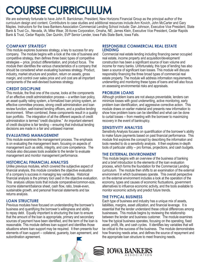# COURSE CURRICULUM

We are extremely fortunate to have John R. Barrickman, President, New Horizons Financial Group as the principal author of the curriculum design and content. Contributors to case studies and additional resources include Ann Kovich, John McCarter and Gary Maples. Instructors for the Iowa Bankers Association Commercial Lending School include: Dan Johnson, Executive Vice President, State Bank & Trust Co., Nevada, IA; Mike Wear, 39 Acres Corporation, Omaha, NE; James Klein, Executive Vice President, Cedar Rapids Bank & Trust, Cedar Rapids; Dan Quinlin, SVP Senior Lender, Iowa Falls State Bank, Iowa Falls.

#### **COMPANY STRATEGY**

This module explores business strategy, a key to success for any company. The module begins with a look at the role of business and competitive strategy, then defines three basic types of competitive strategies -- price, product differentiation, and product focus. The module then identifies the various characteristics of a company that should be considered when evaluating business strategy. Product, industry, market structure and position, return on assets, gross margin, and control over sales price and unit cost are all important components of the well-devised business strategy.

#### **CREDIT DISCIPLINE**

This module, the final one of the course, looks at the components of an effective credit administration process -- a written loan policy, an asset quality rating system, a formalized loan pricing system, an effective committee process, strong credit administration and loan review function, well-trained lending officers, and a positive lending environment. When combined, these components result in a quality loan portfolio. The integration of all the different aspects of credit administration is termed "credit discipline." An important element of credit discipline is fair lending -- ensuring that individual lending decisions are made in a fair and unbiased manner.

#### **EVALUATING MANAGEMENT**

This module examines the management process. The emphasis is on evaluating the management team, focusing on aspects of management such as skills, integrity, and core competence. The module also discusses tools available to the lender to evaluate management and monitor management performance.

#### **HISTORICAL FINANCIAL ANALYSIS**

Unlike previous modules, which covered the subjective aspect of financial analysis, this module considers the objective evaluation of a company's success in managing key variables. Historical financial analysis is the primary tool used in the objective evaluation. This analysis utilizes tools that include comparative/common-size, income statement/balance sheet, cash flow, ratio, break-even, sustainable growth, and personal financial statements and tax returns analysis.

#### **LOAN STRUCTURE**

Previous modules have focused on understanding the borrower's business and quantifying the borrower's willingness and ability to repay debt. Equally important is structuring the loan to ensure that the amount of the loan is appropriate, primary and secondary sources of payment have been identified, and the term of the loan is reasonable. This module defines loan support and identifies those situations where loan support may be required. It then presents four elements of loan support -- collateral, guaranty, loan agreement, and subordination agreement.

#### **RESPONSIBLE COMMERCIAL REAL ESTATE LENDING**

Commercial real estate lending including financing owner occupied real estate, income property and acquisition/development/ construction has been a significant source of loan volume and income for many banks. Unfortunately, this type of lending has also been a source of significant loan losses. This module will discuss responsibly financing the three broad types of commercial real estate property. The module will address information requirements, underwriting and monitoring these types of loans and will also focus on assessing environmental risks and appraisals.

#### **PROBLEM LOANS**

Although problem loans are not always preventable, lenders can minimize losses with good underwriting, active monitoring, early problem loan identification, and aggressive corrective action. This module draws on earlier material and presents new information to show how problem loans can be identified and what can be done to curtail losses -- from meeting with the borrower to maximizing recovery in the event of bankruptcy.

#### **SENSITIVITY ANALYSIS**

Sensitivity Analysis focuses on quantification of the borrower's ability to make future payments based on past financial performance. This module first explores the concept by describing the information and tools needed to do a sensitivity analysis. It then explores in-depth tools of particular utility -- pro formas, projections, and cash budgets.

#### **THE EXTERNAL ENVIRONMENT**

This module begins with an overview of the business of banking and a brief introduction to the elements of the loan evaluation process, which forms the foundation for the Commercial Lending curriculum. The module then shifts to an examination of the external environment in which businesses operate. This overall perspective on the external environment includes a look at the operation of the economy, types and causes of economic fluctuations, government alternatives to influence economic activity, and the tools available to monitor economic activity and predict future trends.

#### **THE TYPICAL BUSINESS**

Each type of business and industry has a unique mix of assets, liabilities, margins, asset utilization, and financial leverage. It is essential that the lender understand these critical differences among businesses. This module begins by reviewing the relationship between the lender and business customer. The module examines how the typical business operates, focusing on the operating, fixed asset, profit, life, and cash cycles. It identifies key variables that will be critical to the success of the business. The module demonstrates how financing needs arise, and defines the source of repayment and the appropriate loan structure to meet financing needs.

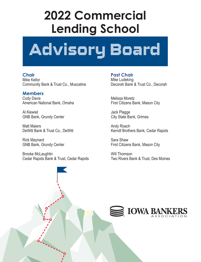# **2022 Commercial Lending School**



**Chair** Mike Kellor Community Bank & Trust Co., Muscatine

**Members** Cody Davis American National Bank, Omaha

Al Kiewiet GNB Bank, Grundy Center

Matt Maiers DeWitt Bank & Trust Co., DeWitt

Rick Maynard GNB Bank, Grundy Center

Brooke McLaughlin Cedar Rapids Bank & Trust, Cedar Rapids

**Past Chair** Mike Ludeking Decorah Bank & Trust Co., Decorah

Melissa Moretz First Citizens Bank, Mason City

Jack Plagge City State Bank, Grimes

Andy Roach Kerndt Brothers Bank, Cedar Rapids

Sara Shaw First Citizens Bank, Mason City

Will Thomson Two Rivers Bank & Trust, Des Moines

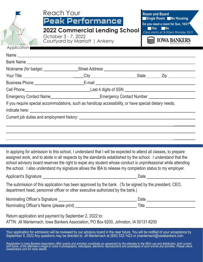| Application                                                                                                                                                                                                                                                                                                                                                                                                                                                     | Reach Your<br>Peak Performance<br><b>2022 Commercial Lending School</b><br>October 3 - 7, 2022<br>Courtyard by Marriott   Ankeny | <b>Room and Board</b><br>Single Room No Housing<br>Do you need a room for Sun, 10/2?<br>$\blacksquare$ Yes<br>$\n  No\n$<br>Class starts at 9:00am Monday 10/3<br><b>IOWA BANKERS</b>                                         |  |  |  |  |  |
|-----------------------------------------------------------------------------------------------------------------------------------------------------------------------------------------------------------------------------------------------------------------------------------------------------------------------------------------------------------------------------------------------------------------------------------------------------------------|----------------------------------------------------------------------------------------------------------------------------------|-------------------------------------------------------------------------------------------------------------------------------------------------------------------------------------------------------------------------------|--|--|--|--|--|
|                                                                                                                                                                                                                                                                                                                                                                                                                                                                 |                                                                                                                                  |                                                                                                                                                                                                                               |  |  |  |  |  |
|                                                                                                                                                                                                                                                                                                                                                                                                                                                                 |                                                                                                                                  |                                                                                                                                                                                                                               |  |  |  |  |  |
|                                                                                                                                                                                                                                                                                                                                                                                                                                                                 |                                                                                                                                  |                                                                                                                                                                                                                               |  |  |  |  |  |
|                                                                                                                                                                                                                                                                                                                                                                                                                                                                 |                                                                                                                                  |                                                                                                                                                                                                                               |  |  |  |  |  |
|                                                                                                                                                                                                                                                                                                                                                                                                                                                                 |                                                                                                                                  |                                                                                                                                                                                                                               |  |  |  |  |  |
|                                                                                                                                                                                                                                                                                                                                                                                                                                                                 |                                                                                                                                  | Emergency Contact Name___________________________Emergency Contact Number _________________________                                                                                                                           |  |  |  |  |  |
|                                                                                                                                                                                                                                                                                                                                                                                                                                                                 | If you require special accommodations, such as handicap accessibility, or have special dietary needs,                            |                                                                                                                                                                                                                               |  |  |  |  |  |
|                                                                                                                                                                                                                                                                                                                                                                                                                                                                 |                                                                                                                                  |                                                                                                                                                                                                                               |  |  |  |  |  |
|                                                                                                                                                                                                                                                                                                                                                                                                                                                                 |                                                                                                                                  |                                                                                                                                                                                                                               |  |  |  |  |  |
|                                                                                                                                                                                                                                                                                                                                                                                                                                                                 |                                                                                                                                  |                                                                                                                                                                                                                               |  |  |  |  |  |
| In applying for admission to this school, I understand that I will be expected to attend all classes, to prepare<br>assigned work, and to abide in all respects by the standards established by the school. I understand that the<br>school advisory board reserves the right to expel any student whose conduct is unprofessional while attending<br>the school. I also understand my signature allows the IBA to release my completion status to my employer. |                                                                                                                                  |                                                                                                                                                                                                                               |  |  |  |  |  |
|                                                                                                                                                                                                                                                                                                                                                                                                                                                                 |                                                                                                                                  |                                                                                                                                                                                                                               |  |  |  |  |  |
| The submission of this application has been approved by the bank. (To be signed by the president, CEO,<br>department head, personnel officer or other executive authorized by the bank.)                                                                                                                                                                                                                                                                        |                                                                                                                                  |                                                                                                                                                                                                                               |  |  |  |  |  |
|                                                                                                                                                                                                                                                                                                                                                                                                                                                                 |                                                                                                                                  |                                                                                                                                                                                                                               |  |  |  |  |  |
|                                                                                                                                                                                                                                                                                                                                                                                                                                                                 |                                                                                                                                  |                                                                                                                                                                                                                               |  |  |  |  |  |
| Return application and payment by September 2, 2022 to:<br>ATTN: Jill Manternach, Iowa Bankers Association, PO Box 6200, Johnston, IA 50131-6200                                                                                                                                                                                                                                                                                                                |                                                                                                                                  |                                                                                                                                                                                                                               |  |  |  |  |  |
|                                                                                                                                                                                                                                                                                                                                                                                                                                                                 |                                                                                                                                  | Your application for admission will be reviewed by our advisory board in the near future. You will be notified of your acceptance by September 9, 2022 Any questions may be directed to: Jill Manternach at (800) 532-1423 or |  |  |  |  |  |

Registration in Iowa Bankers Association (IBA) events and activities constitutes an agreement by the attendee to the IBA's use and distribution, both current and future, of the attendee's image or voice in photographs, videotapes, electronic rĕproductions and audiotapes of such events and activities. Please check<br>iowabankers.com for more details.